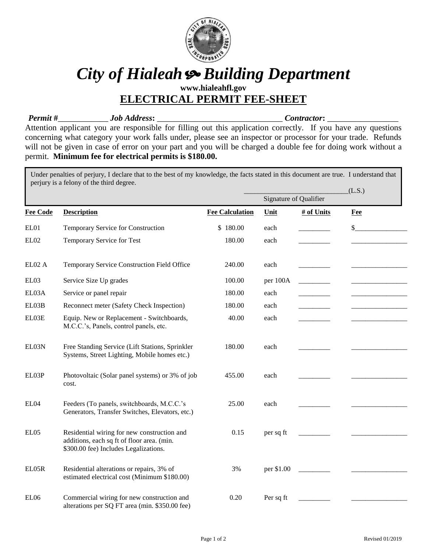

## *City of Hialeah Building Department*

**www.hialeahfl.gov ELECTRICAL PERMIT FEE-SHEET**

*Permit* **#**\_\_\_\_\_\_\_\_\_\_\_\_ *Job Address***:** \_\_\_\_\_\_\_\_\_\_\_\_\_\_\_\_\_\_\_\_\_\_\_\_\_\_\_\_\_\_ *Contractor***:** \_\_\_\_\_\_\_\_\_\_\_\_\_\_\_\_\_

Attention applicant you are responsible for filling out this application correctly. If you have any questions concerning what category your work falls under, please see an inspector or processor for your trade. Refunds will not be given in case of error on your part and you will be charged a double fee for doing work without a permit. **Minimum fee for electrical permits is \$180.00.**

Under penalties of perjury, I declare that to the best of my knowledge, the facts stated in this document are true. I understand that perjury is a felony of the third degree.

|                 |                                                                                                                                    |                        | Signature of Qualifier |            | (L.S.) |
|-----------------|------------------------------------------------------------------------------------------------------------------------------------|------------------------|------------------------|------------|--------|
| <b>Fee Code</b> | <b>Description</b>                                                                                                                 | <b>Fee Calculation</b> | Unit                   | # of Units | Fee    |
| EL01            | Temporary Service for Construction                                                                                                 | \$180.00               | each                   |            | \$     |
| EL02            | Temporary Service for Test                                                                                                         | 180.00                 | each                   |            |        |
| ELO2A           | Temporary Service Construction Field Office                                                                                        | 240.00                 | each                   |            |        |
| EL03            | Service Size Up grades                                                                                                             | 100.00                 | per 100A               |            |        |
| EL03A           | Service or panel repair                                                                                                            | 180.00                 | each                   |            |        |
| EL03B           | Reconnect meter (Safety Check Inspection)                                                                                          | 180.00                 | each                   |            |        |
| EL03E           | Equip. New or Replacement - Switchboards,<br>M.C.C.'s, Panels, control panels, etc.                                                | 40.00                  | each                   |            |        |
| EL03N           | Free Standing Service (Lift Stations, Sprinkler<br>Systems, Street Lighting, Mobile homes etc.)                                    | 180.00                 | each                   |            |        |
| EL03P           | Photovoltaic (Solar panel systems) or 3% of job<br>cost.                                                                           | 455.00                 | each                   |            |        |
| EL04            | Feeders (To panels, switchboards, M.C.C.'s<br>Generators, Transfer Switches, Elevators, etc.)                                      | 25.00                  | each                   |            |        |
| EL05            | Residential wiring for new construction and<br>additions, each sq ft of floor area. (min.<br>\$300.00 fee) Includes Legalizations. | 0.15                   | per sq ft              |            |        |
| EL05R           | Residential alterations or repairs, 3% of<br>estimated electrical cost (Minimum \$180.00)                                          | 3%                     | per \$1.00             |            |        |
| EL06            | Commercial wiring for new construction and<br>alterations per SQ FT area (min. \$350.00 fee)                                       | 0.20                   | Per sq ft              |            |        |